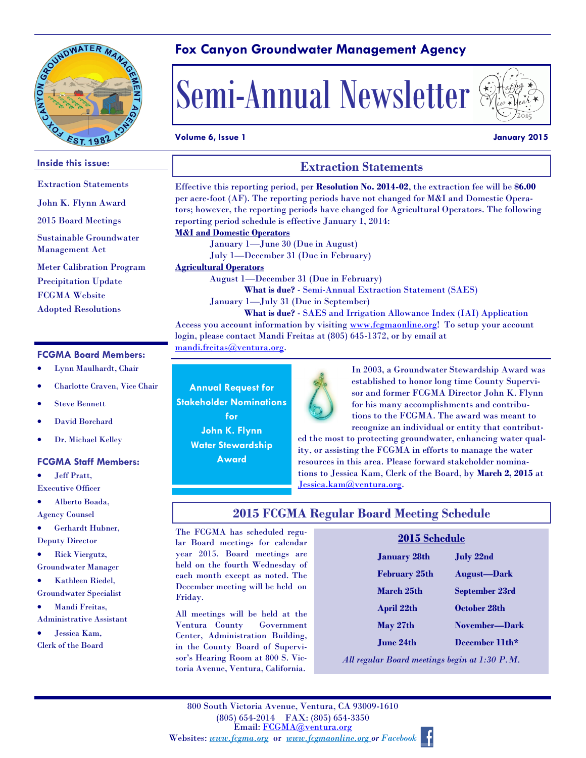

# **Fox Canyon Groundwater Management Agency**



### **Volume 6, Issue 1 January 2015**

#### **FCGMA Board Members: Inside this issue:** Extraction Statements John K. Flynn Award 2015 Board Meetings Sustainable Groundwater Management Act Meter Calibration Program Precipitation Update FCGMA Website Adopted Resolutions **Extraction Statements** Effective this reporting period, per **Resolution No. 2014-02**, the extraction fee will be **\$6.00**  per acre-foot (AF). The reporting periods have not changed for M&I and Domestic Operators; however, the reporting periods have changed for Agricultural Operators. The following reporting period schedule is effective January 1, 2014: **M&I and Domestic Operators** January 1—June 30 (Due in August) July 1—December 31 (Due in February) **Agricultural Operators**  August 1—December 31 (Due in February) **What is due?** - Semi-Annual Extraction Statement (SAES) January 1—July 31 (Due in September) **What is due?** - SAES and Irrigation Allowance Index (IAI) Application Access you account information by visiting www.fcgmaonline.org! To setup your account login, please contact Mandi Freitas at (805) 645-1372, or by email at mandi.freitas@ventura.org.

- Lynn Maulhardt, Chair
- Charlotte Craven, Vice Chair
- Steve Bennett
- David Borchard
- Dr. Michael Kelley

#### **FCGMA Staff Members:**

- Jeff Pratt,
- Executive Officer

 Alberto Boada, Agency Counsel

- 
- Gerhardt Hubner, Deputy Director
- Rick Viergutz, Groundwater Manager
- Kathleen Riedel,
- Groundwater Specialist
- Mandi Freitas,
- Administrative Assistant

 Jessica Kam, Clerk of the Board

**Annual Request for Stakeholder Nominations for John K. Flynn**

**Water Stewardship Award**



In 2003, a Groundwater Stewardship Award was established to honor long time County Supervisor and former FCGMA Director John K. Flynn for his many accomplishments and contributions to the FCGMA. The award was meant to recognize an individual or entity that contribut-

ed the most to protecting groundwater, enhancing water quality, or assisting the FCGMA in efforts to manage the water resources in this area. Please forward stakeholder nominations to Jessica Kam, Clerk of the Board, by **March 2, 2015** at Jessica.kam@ventura.org.

### **2015 FCGMA Regular Board Meeting Schedule**

The FCGMA has scheduled regular Board meetings for calendar year 2015. Board meetings are held on the fourth Wednesday of each month except as noted. The December meeting will be held on Friday.

All meetings will be held at the Ventura County Government Center, Administration Building, in the County Board of Supervisor's Hearing Room at 800 S. Victoria Avenue, Ventura, California.

| <i>4</i> 015 мянецше |                      |                       |
|----------------------|----------------------|-----------------------|
|                      | <b>January 28th</b>  | <b>July 22nd</b>      |
|                      | <b>February 25th</b> | <b>August-Dark</b>    |
|                      | March 25th           | <b>September 23rd</b> |
|                      | <b>April 22th</b>    | October 28th          |
|                      | May 27th             | November-Dark         |
|                      | June 24th            | December 11th*        |
|                      |                      |                       |

**2015 Schedule**

*All regular Board meetings begin at 1:30 P.M.*